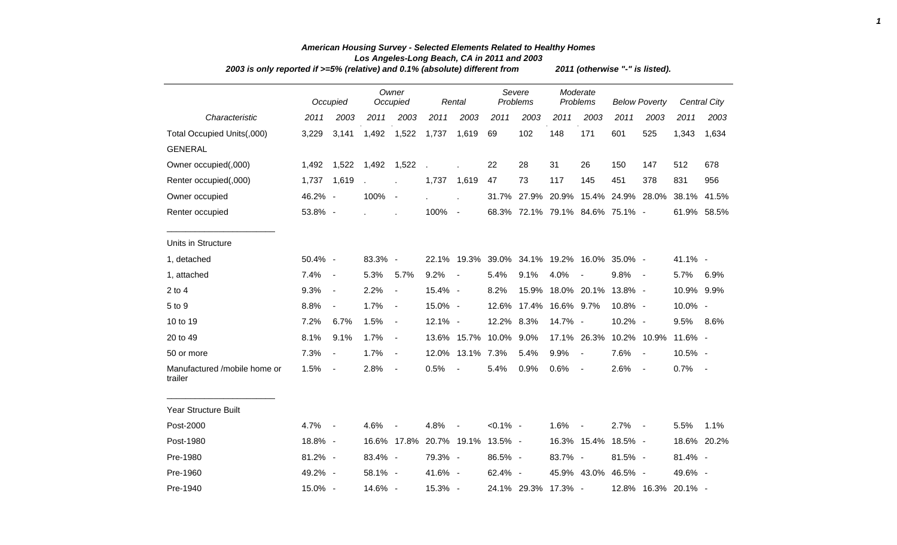|                                         | 2003 is only reported if $>=5\%$ (relative) and 0.1% (absolute) different from |                          |         |                          |            |                        |             |                        |         |                                             |                      | 2011 (otherwise "-" is listed). |            |                     |  |  |  |  |  |  |  |
|-----------------------------------------|--------------------------------------------------------------------------------|--------------------------|---------|--------------------------|------------|------------------------|-------------|------------------------|---------|---------------------------------------------|----------------------|---------------------------------|------------|---------------------|--|--|--|--|--|--|--|
|                                         |                                                                                | Occupied                 |         | Owner<br>Occupied        |            | Rental                 |             | Severe<br>Problems     |         | Moderate<br>Problems                        | <b>Below Poverty</b> |                                 |            | <b>Central City</b> |  |  |  |  |  |  |  |
| Characteristic                          | 2011                                                                           | 2003                     | 2011    | 2003                     | 2011       | 2003                   | 2011        | 2003                   | 2011    | 2003                                        | 2011                 | 2003                            | 2011       | 2003                |  |  |  |  |  |  |  |
| Total Occupied Units(,000)              | 3,229                                                                          | 3,141                    | 1,492   | 1,522                    | 1,737      | 1,619                  | 69          | 102                    | 148     | 171                                         | 601                  | 525                             | 1,343      | 1,634               |  |  |  |  |  |  |  |
| <b>GENERAL</b>                          |                                                                                |                          |         |                          |            |                        |             |                        |         |                                             |                      |                                 |            |                     |  |  |  |  |  |  |  |
| Owner occupied(,000)                    |                                                                                | 1,492 1,522              | 1,492   | 1,522                    |            |                        | 22          | 28                     | 31      | 26                                          | 150                  | 147                             | 512        | 678                 |  |  |  |  |  |  |  |
| Renter occupied(,000)                   | 1,737 1,619                                                                    |                          |         | $\mathbf{r}$             | 1,737      | 1,619                  | 47          | 73                     | 117     | 145                                         | 451                  | 378                             | 831        | 956                 |  |  |  |  |  |  |  |
| Owner occupied                          | 46.2% -                                                                        |                          | 100%    | $\sim$ $-$               |            |                        |             |                        |         | 31.7% 27.9% 20.9% 15.4% 24.9% 28.0%         |                      |                                 | 38.1%      | 41.5%               |  |  |  |  |  |  |  |
| Renter occupied                         | 53.8% -                                                                        |                          |         |                          | 100% -     |                        |             |                        |         | 68.3% 72.1% 79.1% 84.6% 75.1% -             |                      |                                 |            | 61.9% 58.5%         |  |  |  |  |  |  |  |
| Units in Structure                      |                                                                                |                          |         |                          |            |                        |             |                        |         |                                             |                      |                                 |            |                     |  |  |  |  |  |  |  |
| 1, detached                             | 50.4% -                                                                        |                          | 83.3% - |                          |            |                        |             |                        |         | 22.1% 19.3% 39.0% 34.1% 19.2% 16.0% 35.0% - |                      |                                 | $41.1\%$ - |                     |  |  |  |  |  |  |  |
| 1, attached                             | 7.4%                                                                           | $\sim$                   | 5.3%    | 5.7%                     | 9.2%       | $\sim$ $-$             | 5.4%        | 9.1%                   | 4.0%    | $\overline{\phantom{a}}$                    | $9.8\%$ -            |                                 | 5.7%       | 6.9%                |  |  |  |  |  |  |  |
| $2$ to $4$                              | 9.3%                                                                           | $\blacksquare$           | 2.2%    | $\blacksquare$           | 15.4% -    |                        | 8.2%        | 15.9%                  |         | 18.0% 20.1%                                 | 13.8% -              |                                 | 10.9% 9.9% |                     |  |  |  |  |  |  |  |
| 5 to 9                                  | 8.8%                                                                           | $\blacksquare$           | 1.7%    | $\blacksquare$           | 15.0% -    |                        |             | 12.6% 17.4% 16.6% 9.7% |         |                                             | 10.8% -              |                                 | 10.0% -    |                     |  |  |  |  |  |  |  |
| 10 to 19                                | 7.2%                                                                           | 6.7%                     | 1.5%    | $\sim$                   | $12.1\% -$ |                        | 12.2% 8.3%  |                        | 14.7% - |                                             | 10.2% -              |                                 | 9.5%       | 8.6%                |  |  |  |  |  |  |  |
| 20 to 49                                | 8.1%                                                                           | 9.1%                     | 1.7%    | $\overline{\phantom{a}}$ |            | 13.6% 15.7% 10.0% 9.0% |             |                        |         | 17.1% 26.3%                                 |                      | 10.2% 10.9%                     | 11.6% -    |                     |  |  |  |  |  |  |  |
| 50 or more                              | 7.3%                                                                           | $\overline{\phantom{a}}$ | 1.7%    | $\sim$                   |            | 12.0% 13.1% 7.3%       |             | 5.4%                   | 9.9%    | $\blacksquare$                              | 7.6%                 | $\overline{\phantom{a}}$        | 10.5% -    |                     |  |  |  |  |  |  |  |
| Manufactured /mobile home or<br>trailer | 1.5%                                                                           | $\blacksquare$           | 2.8%    | $\sim$                   | 0.5%       | $\sim$                 | 5.4%        | 0.9%                   | 0.6%    | $\blacksquare$                              | 2.6%                 | $\sim$                          | $0.7\%$ -  |                     |  |  |  |  |  |  |  |
| Year Structure Built                    |                                                                                |                          |         |                          |            |                        |             |                        |         |                                             |                      |                                 |            |                     |  |  |  |  |  |  |  |
| Post-2000                               | 4.7%                                                                           | $\sim$ $-$               | 4.6%    |                          | 4.8%       | $\sim$                 | $< 0.1\%$ - |                        | 1.6%    | $\sim$                                      | 2.7%                 | $\sim$ $-$                      | 5.5%       | 1.1%                |  |  |  |  |  |  |  |
| Post-1980                               | 18.8% -                                                                        |                          |         | 16.6% 17.8%              |            | 20.7% 19.1%            | 13.5% -     |                        |         | 16.3% 15.4%                                 | 18.5% -              |                                 |            | 18.6% 20.2%         |  |  |  |  |  |  |  |
| Pre-1980                                | 81.2% -                                                                        |                          | 83.4% - |                          | 79.3% -    |                        | 86.5% -     |                        | 83.7% - |                                             | 81.5% -              |                                 | 81.4% -    |                     |  |  |  |  |  |  |  |
| Pre-1960                                | 49.2% -                                                                        |                          | 58.1% - |                          | 41.6% -    |                        | $62.4\% -$  |                        |         | 45.9% 43.0%                                 | 46.5% -              |                                 | 49.6% -    |                     |  |  |  |  |  |  |  |
| Pre-1940                                | 15.0% -                                                                        |                          | 14.6% - |                          | 15.3% -    |                        |             | 24.1% 29.3% 17.3% -    |         |                                             |                      | 12.8% 16.3% 20.1% -             |            |                     |  |  |  |  |  |  |  |

## *American Housing Survey - Selected Elements Related to Healthy Homes Los Angeles-Long Beach, CA in 2011 and 2003*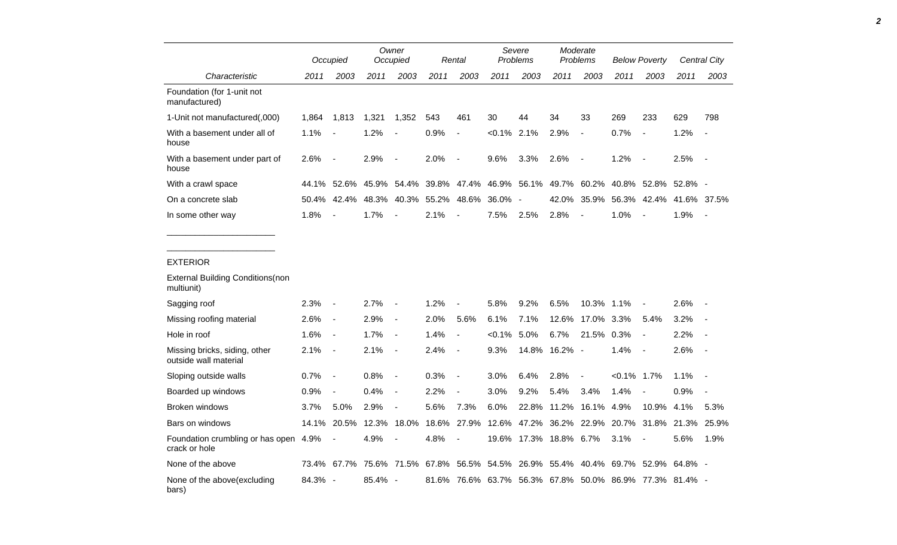|                                                                           |             | Occupied                 |         | Owner<br>Occupied        |                                             | Rental                   |                | Severe<br>Problems |                        | Moderate<br>Problems     |                | <b>Below Poverty</b>                                                                |           | Central City             |
|---------------------------------------------------------------------------|-------------|--------------------------|---------|--------------------------|---------------------------------------------|--------------------------|----------------|--------------------|------------------------|--------------------------|----------------|-------------------------------------------------------------------------------------|-----------|--------------------------|
| Characteristic                                                            | 2011        | 2003                     | 2011    | 2003                     | 2011                                        | 2003                     | 2011           | 2003               | 2011                   | 2003                     | 2011           | 2003                                                                                | 2011      | 2003                     |
| Foundation (for 1-unit not<br>manufactured)                               |             |                          |         |                          |                                             |                          |                |                    |                        |                          |                |                                                                                     |           |                          |
| 1-Unit not manufactured(,000)                                             | 1,864 1,813 |                          | 1,321   | 1,352                    | 543                                         | 461                      | 30             | 44                 | 34                     | 33                       | 269            | 233                                                                                 | 629       | 798                      |
| With a basement under all of<br>house                                     | 1.1%        | $\sim$                   | 1.2%    | $\blacksquare$           | 0.9%                                        | $\blacksquare$           | $< 0.1\%$ 2.1% |                    | 2.9%                   | $\blacksquare$           | 0.7%           | $\sim$                                                                              | 1.2%      | $\sim$                   |
| With a basement under part of<br>house                                    | 2.6%        | $\sim$                   | 2.9%    | $\blacksquare$           | 2.0%                                        | $\sim$                   | 9.6%           | 3.3%               | 2.6%                   | $\blacksquare$           | 1.2%           | $\sim$                                                                              | 2.5%      | $\sim$ $-$               |
| With a crawl space                                                        |             |                          |         |                          |                                             |                          |                |                    |                        |                          |                | 44.1% 52.6% 45.9% 54.4% 39.8% 47.4% 46.9% 56.1% 49.7% 60.2% 40.8% 52.8% 52.8% -     |           |                          |
| On a concrete slab                                                        |             |                          |         |                          | 50.4% 42.4% 48.3% 40.3% 55.2% 48.6% 36.0% - |                          |                |                    |                        |                          |                | 42.0% 35.9% 56.3% 42.4% 41.6% 37.5%                                                 |           |                          |
| In some other way                                                         | 1.8%        | $\sim$                   | 1.7%    |                          | 2.1%                                        | $\overline{\phantom{a}}$ | 7.5%           | 2.5%               | 2.8%                   | $\overline{\phantom{a}}$ | 1.0%           | $\overline{\phantom{a}}$                                                            | 1.9%      | $\sim$ $-$               |
| <b>EXTERIOR</b><br><b>External Building Conditions (non</b><br>multiunit) |             |                          |         |                          |                                             |                          |                |                    |                        |                          |                |                                                                                     |           |                          |
| Sagging roof                                                              | 2.3%        | $\overline{\phantom{a}}$ | 2.7%    | $\blacksquare$           | 1.2%                                        | $\blacksquare$           | 5.8%           | 9.2%               | 6.5%                   | 10.3% 1.1%               |                | $\blacksquare$                                                                      | $2.6\%$ - |                          |
| Missing roofing material                                                  | 2.6%        | $\sim$                   | 2.9%    | $\overline{\phantom{a}}$ | 2.0%                                        | 5.6%                     | 6.1%           | 7.1%               |                        | 12.6% 17.0% 3.3%         |                | 5.4%                                                                                | 3.2%      | $\sim$ $-$               |
| Hole in roof                                                              | $1.6\%$     | $\sim$                   | 1.7%    | $\sim$ $-$               | 1.4%                                        | $\blacksquare$           | $< 0.1\%$ 5.0% |                    | 6.7%                   | 21.5% 0.3%               |                | $\blacksquare$                                                                      | 2.2%      | $\sim$                   |
| Missing bricks, siding, other<br>outside wall material                    | 2.1%        | $\sim$                   | 2.1%    | $\sim$ $-$               | 2.4%                                        | $\sim$                   | 9.3%           |                    | 14.8% 16.2% -          |                          | 1.4%           | $\sim$                                                                              | 2.6%      | $\sim$ $-$               |
| Sloping outside walls                                                     | 0.7%        | $\overline{\phantom{a}}$ | 0.8%    | $\blacksquare$           | 0.3%                                        | $\sim$                   | 3.0%           | 6.4%               | 2.8%                   | $\overline{\phantom{a}}$ | $< 0.1\%$ 1.7% |                                                                                     | 1.1%      | $\sim$ $-$               |
| Boarded up windows                                                        | 0.9%        | $\blacksquare$           | 0.4%    | $\blacksquare$           | 2.2%                                        | $\blacksquare$           | 3.0%           | 9.2%               | 5.4%                   | 3.4%                     | 1.4%           |                                                                                     | 0.9%      | $\overline{\phantom{a}}$ |
| Broken windows                                                            | 3.7%        | 5.0%                     | 2.9%    | $\blacksquare$           | 5.6%                                        | 7.3%                     | 6.0%           |                    | 22.8% 11.2% 16.1% 4.9% |                          |                | 10.9%                                                                               | 4.1%      | 5.3%                     |
| Bars on windows                                                           |             |                          |         |                          |                                             |                          |                |                    |                        |                          |                | 14.1% 20.5% 12.3% 18.0% 18.6% 27.9% 12.6% 47.2% 36.2% 22.9% 20.7% 31.8% 21.3% 25.9% |           |                          |
| Foundation crumbling or has open 4.9%<br>crack or hole                    |             | $\overline{\phantom{a}}$ | 4.9%    | $\blacksquare$           | 4.8%                                        | $\blacksquare$           |                |                    | 19.6% 17.3% 18.8% 6.7% |                          | 3.1%           | $\sim$                                                                              | 5.6%      | 1.9%                     |
| None of the above                                                         |             |                          |         |                          |                                             |                          |                |                    |                        |                          |                | 73.4% 67.7% 75.6% 71.5% 67.8% 56.5% 54.5% 26.9% 55.4% 40.4% 69.7% 52.9% 64.8% -     |           |                          |
| None of the above(excluding<br>bars)                                      | 84.3% -     |                          | 85.4% - |                          |                                             |                          |                |                    |                        |                          |                | 81.6% 76.6% 63.7% 56.3% 67.8% 50.0% 86.9% 77.3% 81.4% -                             |           |                          |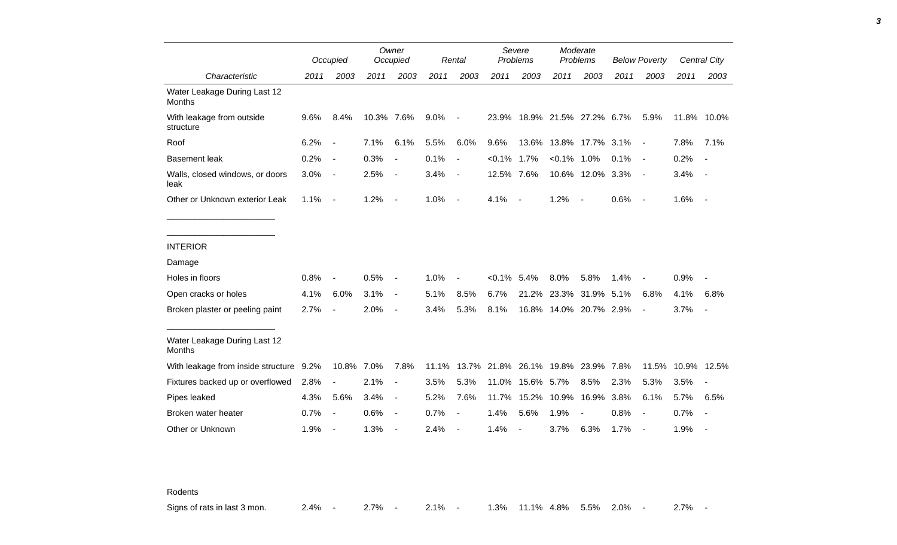|                                               |      | Occupied                 |            | Owner<br>Occupied        |       | Severe<br>Problems<br>Rental |                |                                    | Moderate<br>Problems   |                          | <b>Below Poverty</b> |                          | <b>Central City</b> |                          |
|-----------------------------------------------|------|--------------------------|------------|--------------------------|-------|------------------------------|----------------|------------------------------------|------------------------|--------------------------|----------------------|--------------------------|---------------------|--------------------------|
| Characteristic                                | 2011 | 2003                     | 2011       | 2003                     | 2011  | 2003                         | 2011           | 2003                               | 2011                   | 2003                     | 2011                 | 2003                     | 2011                | 2003                     |
| Water Leakage During Last 12<br><b>Months</b> |      |                          |            |                          |       |                              |                |                                    |                        |                          |                      |                          |                     |                          |
| With leakage from outside<br>structure        | 9.6% | 8.4%                     | 10.3% 7.6% |                          | 9.0%  | $\qquad \qquad \blacksquare$ |                | 23.9% 18.9% 21.5% 27.2% 6.7%       |                        |                          |                      | 5.9%                     | 11.8% 10.0%         |                          |
| Roof                                          | 6.2% | $\overline{\phantom{a}}$ | 7.1%       | 6.1%                     | 5.5%  | 6.0%                         | 9.6%           |                                    | 13.6% 13.8% 17.7% 3.1% |                          |                      | $\blacksquare$           | 7.8%                | 7.1%                     |
| <b>Basement leak</b>                          | 0.2% | $\overline{\phantom{a}}$ | 0.3%       | $\blacksquare$           | 0.1%  | $\overline{\phantom{a}}$     | $< 0.1\%$      | 1.7%                               | $< 0.1\%$ 1.0%         |                          | 0.1%                 | $\overline{\phantom{a}}$ | 0.2%                |                          |
| Walls, closed windows, or doors<br>leak       | 3.0% | $\overline{a}$           | 2.5%       | $\overline{a}$           | 3.4%  | $\qquad \qquad \blacksquare$ | 12.5% 7.6%     |                                    |                        | 10.6% 12.0% 3.3%         |                      | $\blacksquare$           | 3.4%                | $\blacksquare$           |
| Other or Unknown exterior Leak                | 1.1% | $\blacksquare$           | 1.2%       | $\blacksquare$           | 1.0%  | $\blacksquare$               | 4.1%           | $\overline{\phantom{a}}$           | 1.2%                   | $\overline{\phantom{a}}$ | 0.6%                 | $\overline{\phantom{a}}$ | 1.6%                | $\overline{\phantom{a}}$ |
|                                               |      |                          |            |                          |       |                              |                |                                    |                        |                          |                      |                          |                     |                          |
| <b>INTERIOR</b>                               |      |                          |            |                          |       |                              |                |                                    |                        |                          |                      |                          |                     |                          |
| Damage                                        |      |                          |            |                          |       |                              |                |                                    |                        |                          |                      |                          |                     |                          |
| Holes in floors                               | 0.8% |                          | 0.5%       | $\blacksquare$           | 1.0%  |                              | $< 0.1\%$ 5.4% |                                    | 8.0%                   | 5.8%                     | 1.4%                 |                          | 0.9%                |                          |
| Open cracks or holes                          | 4.1% | 6.0%                     | 3.1%       | $\blacksquare$           | 5.1%  | 8.5%                         | 6.7%           |                                    | 21.2% 23.3% 31.9% 5.1% |                          |                      | 6.8%                     | 4.1%                | 6.8%                     |
| Broken plaster or peeling paint               | 2.7% |                          | 2.0%       | $\overline{\phantom{a}}$ | 3.4%  | 5.3%                         | 8.1%           |                                    | 16.8% 14.0% 20.7% 2.9% |                          |                      | $\overline{\phantom{a}}$ | 3.7%                | $\overline{\phantom{a}}$ |
| Water Leakage During Last 12<br>Months        |      |                          |            |                          |       |                              |                |                                    |                        |                          |                      |                          |                     |                          |
| With leakage from inside structure 9.2%       |      | 10.8% 7.0%               |            | 7.8%                     | 11.1% |                              |                | 13.7% 21.8% 26.1% 19.8% 23.9% 7.8% |                        |                          |                      |                          | 11.5% 10.9% 12.5%   |                          |
| Fixtures backed up or overflowed              | 2.8% | $\overline{\phantom{0}}$ | 2.1%       | $\blacksquare$           | 3.5%  | 5.3%                         | 11.0%          | 15.6% 5.7%                         |                        | 8.5%                     | 2.3%                 | 5.3%                     | 3.5%                |                          |
| Pipes leaked                                  | 4.3% | 5.6%                     | 3.4%       | $\blacksquare$           | 5.2%  | 7.6%                         | 11.7%          |                                    | 15.2% 10.9% 16.9% 3.8% |                          |                      | 6.1%                     | 5.7%                | 6.5%                     |
| Broken water heater                           | 0.7% | $\overline{\phantom{a}}$ | 0.6%       | $\blacksquare$           | 0.7%  |                              | 1.4%           | 5.6%                               | 1.9%                   |                          | 0.8%                 |                          | 0.7%                |                          |
| Other or Unknown                              | 1.9% | $\overline{\phantom{a}}$ | 1.3%       | $\overline{\phantom{a}}$ | 2.4%  |                              | 1.4%           | $\blacksquare$                     | 3.7%                   | 6.3%                     | 1.7%                 | $\overline{\phantom{a}}$ | 1.9%                |                          |

Rodents

Signs of rats in last 3 mon. 2.4% - 2.7% - 2.1% - 1.3% 11.1% 4.8% 5.5% 2.0% - 2.7% -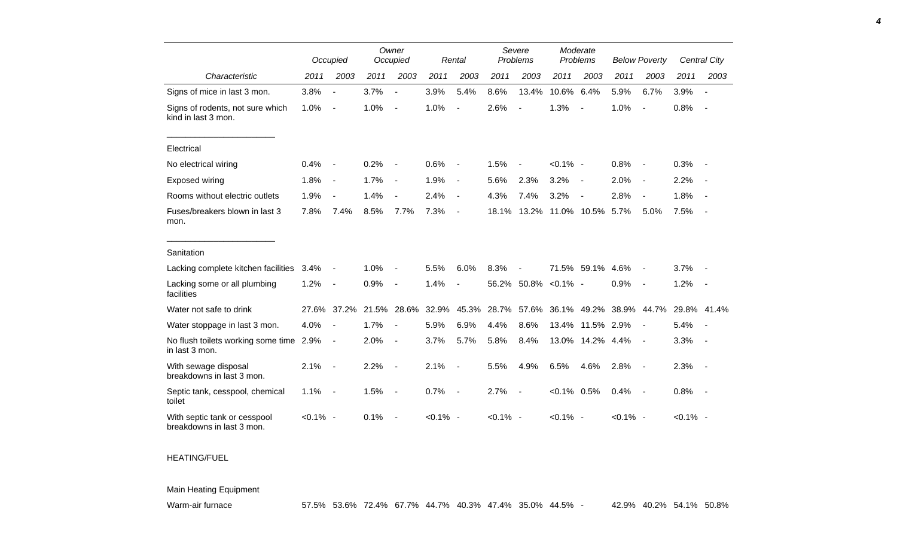|                                                           |             |                              | Owner<br>Occupied |                          |             |                          |             | Severe                   |                | Moderate                 |             |                          |             |                          |
|-----------------------------------------------------------|-------------|------------------------------|-------------------|--------------------------|-------------|--------------------------|-------------|--------------------------|----------------|--------------------------|-------------|--------------------------|-------------|--------------------------|
|                                                           |             | Occupied                     |                   |                          |             | Rental                   |             | Problems                 |                | Problems                 |             | <b>Below Poverty</b>     |             | <b>Central City</b>      |
| Characteristic                                            | 2011        | 2003                         | 2011              | 2003                     | 2011        | 2003                     | 2011        | 2003                     | 2011           | 2003                     | 2011        | 2003                     | 2011        | 2003                     |
| Signs of mice in last 3 mon.                              | 3.8%        | $\blacksquare$               | 3.7%              | $\blacksquare$           | 3.9%        | 5.4%                     | 8.6%        | 13.4%                    | 10.6%          | 6.4%                     | 5.9%        | 6.7%                     | 3.9%        | $\blacksquare$           |
| Signs of rodents, not sure which<br>kind in last 3 mon.   | 1.0%        | $\overline{\phantom{a}}$     | 1.0%              | $\blacksquare$           | 1.0%        | $\blacksquare$           | 2.6%        | $\blacksquare$           | 1.3%           | $\overline{\phantom{a}}$ | 1.0%        | $\blacksquare$           | 0.8%        | $\overline{\phantom{a}}$ |
| Electrical                                                |             |                              |                   |                          |             |                          |             |                          |                |                          |             |                          |             |                          |
| No electrical wiring                                      | 0.4%        |                              | 0.2%              | $\overline{\phantom{a}}$ | 0.6%        | $\overline{\phantom{a}}$ | 1.5%        | $\blacksquare$           | $< 0.1\%$ -    |                          | 0.8%        |                          | 0.3%        |                          |
| Exposed wiring                                            | 1.8%        | $\overline{\phantom{a}}$     | 1.7%              | $\overline{\phantom{a}}$ | 1.9%        | $\overline{\phantom{a}}$ | 5.6%        | 2.3%                     | 3.2%           | $\overline{\phantom{a}}$ | 2.0%        | $\blacksquare$           | 2.2%        |                          |
| Rooms without electric outlets                            | 1.9%        | $\overline{\phantom{a}}$     | 1.4%              |                          | 2.4%        | $\overline{\phantom{a}}$ | 4.3%        | 7.4%                     | 3.2%           | $\overline{\phantom{a}}$ | 2.8%        |                          | 1.8%        |                          |
| Fuses/breakers blown in last 3<br>mon.                    | 7.8%        | 7.4%                         | 8.5%              | 7.7%                     | 7.3%        | $\overline{\phantom{a}}$ | 18.1%       | 13.2%                    |                | 11.0% 10.5%              | 5.7%        | 5.0%                     | 7.5%        |                          |
| Sanitation                                                |             |                              |                   |                          |             |                          |             |                          |                |                          |             |                          |             |                          |
| Lacking complete kitchen facilities                       | 3.4%        | $\qquad \qquad \blacksquare$ | 1.0%              | $\overline{\phantom{0}}$ | 5.5%        | 6.0%                     | 8.3%        | $\overline{\phantom{a}}$ |                | 71.5% 59.1% 4.6%         |             |                          | 3.7%        |                          |
| Lacking some or all plumbing<br>facilities                | 1.2%        | $\blacksquare$               | 0.9%              | $\overline{\phantom{a}}$ | 1.4%        | $\overline{\phantom{a}}$ | 56.2%       | 50.8%                    | $< 0.1\%$ -    |                          | 0.9%        | $\overline{\phantom{a}}$ | 1.2%        | $\overline{a}$           |
| Water not safe to drink                                   |             | 27.6% 37.2%                  | 21.5%             | 28.6%                    | 32.9%       | 45.3%                    | 28.7%       | 57.6%                    | 36.1%          | 49.2%                    |             | 38.9% 44.7%              |             | 29.8% 41.4%              |
| Water stoppage in last 3 mon.                             | 4.0%        | $\overline{\phantom{a}}$     | 1.7%              | $\overline{\phantom{a}}$ | 5.9%        | 6.9%                     | 4.4%        | 8.6%                     | 13.4%          | 11.5% 2.9%               |             | $\blacksquare$           | 5.4%        | $\overline{\phantom{a}}$ |
| No flush toilets working some time 2.9%<br>in last 3 mon. |             | $\overline{\phantom{a}}$     | 2.0%              | $\overline{\phantom{a}}$ | 3.7%        | 5.7%                     | 5.8%        | 8.4%                     |                | 13.0% 14.2% 4.4%         |             | $\blacksquare$           | 3.3%        |                          |
| With sewage disposal<br>breakdowns in last 3 mon.         | 2.1%        | $\blacksquare$               | 2.2%              | $\overline{\phantom{a}}$ | 2.1%        | $\blacksquare$           | 5.5%        | 4.9%                     | 6.5%           | 4.6%                     | 2.8%        | $\overline{\phantom{a}}$ | 2.3%        | $\blacksquare$           |
| Septic tank, cesspool, chemical<br>toilet                 | 1.1%        | $\blacksquare$               | 1.5%              | $\blacksquare$           | 0.7%        | $\overline{\phantom{a}}$ | 2.7%        | $\blacksquare$           | $< 0.1\%$ 0.5% |                          | 0.4%        | $\overline{\phantom{a}}$ | 0.8%        | $\blacksquare$           |
| With septic tank or cesspool<br>breakdowns in last 3 mon. | $< 0.1\%$ - |                              | 0.1%              |                          | $< 0.1\%$ - |                          | $< 0.1\%$ - |                          | $< 0.1\%$ -    |                          | $< 0.1\%$ - |                          | $< 0.1\%$ - |                          |

## HEATING/FUEL

## Main Heating Equipment

*4*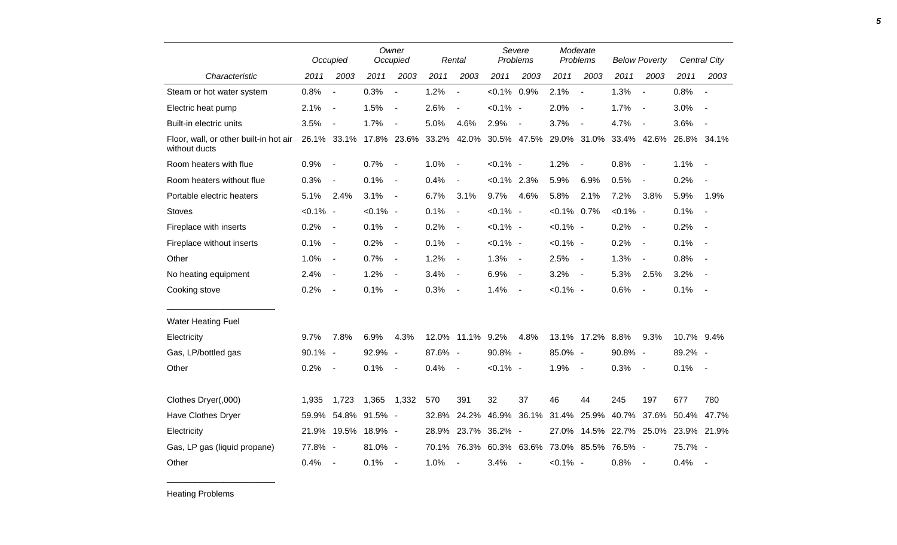|                                                         |             | Occupied                     |               | Owner<br>Occupied        |         | Rental                       | Severe<br>Problems |                          | Moderate<br>Problems |                          | <b>Below Poverty</b> |                          |             | <b>Central City</b>      |
|---------------------------------------------------------|-------------|------------------------------|---------------|--------------------------|---------|------------------------------|--------------------|--------------------------|----------------------|--------------------------|----------------------|--------------------------|-------------|--------------------------|
| Characteristic                                          | 2011        | 2003                         | 2011          | 2003                     | 2011    | 2003                         | 2011               | 2003                     | 2011                 | 2003                     | 2011                 | 2003                     | 2011        | 2003                     |
| Steam or hot water system                               | 0.8%        | $\overline{a}$               | 0.3%          | $\overline{a}$           | 1.2%    | $\overline{a}$               | $< 0.1\%$          | 0.9%                     | 2.1%                 | $\sim$                   | 1.3%                 | $\overline{\phantom{a}}$ | 0.8%        |                          |
| Electric heat pump                                      | 2.1%        | $\blacksquare$               | 1.5%          | $\blacksquare$           | 2.6%    |                              | $< 0.1\%$ -        |                          | 2.0%                 | $\overline{\phantom{a}}$ | 1.7%                 | $\overline{\phantom{a}}$ | 3.0%        |                          |
| Built-in electric units                                 | 3.5%        | $\overline{\phantom{a}}$     | 1.7%          | $\overline{\phantom{a}}$ | 5.0%    | 4.6%                         | 2.9%               | $\overline{\phantom{a}}$ | 3.7%                 | $\overline{\phantom{a}}$ | 4.7%                 | $\blacksquare$           | 3.6%        | $\overline{\phantom{a}}$ |
| Floor, wall, or other built-in hot air<br>without ducts |             | 26.1% 33.1%                  |               | 17.8% 23.6%              | 33.2%   | 42.0%                        |                    | 30.5% 47.5%              |                      | 29.0% 31.0%              |                      | 33.4% 42.6%              |             | 26.8% 34.1%              |
| Room heaters with flue                                  | 0.9%        | $\overline{\phantom{a}}$     | 0.7%          | $\overline{\phantom{a}}$ | 1.0%    | $\overline{\phantom{a}}$     | $< 0.1\%$ -        |                          | 1.2%                 | $\overline{\phantom{a}}$ | 0.8%                 | $\overline{\phantom{a}}$ | 1.1%        |                          |
| Room heaters without flue                               | 0.3%        | $\overline{\phantom{a}}$     | 0.1%          | $\blacksquare$           | 0.4%    | $\qquad \qquad \blacksquare$ | $< 0.1\%$ 2.3%     |                          | 5.9%                 | 6.9%                     | 0.5%                 | $\overline{\phantom{a}}$ | 0.2%        | $\overline{\phantom{a}}$ |
| Portable electric heaters                               | 5.1%        | 2.4%                         | 3.1%          | $\overline{\phantom{a}}$ | 6.7%    | 3.1%                         | 9.7%               | 4.6%                     | 5.8%                 | 2.1%                     | 7.2%                 | 3.8%                     | 5.9%        | 1.9%                     |
| <b>Stoves</b>                                           | $< 0.1\%$ - |                              | $< 0.1\%$ -   |                          | 0.1%    | $\overline{\phantom{a}}$     | $< 0.1\%$ -        |                          | $< 0.1\%$ 0.7%       |                          | $< 0.1\%$ -          |                          | 0.1%        |                          |
| Fireplace with inserts                                  | 0.2%        | $\qquad \qquad \blacksquare$ | 0.1%          | $\blacksquare$           | 0.2%    | $\overline{\phantom{a}}$     | $< 0.1\%$ -        |                          | $< 0.1\%$ -          |                          | 0.2%                 | $\overline{\phantom{a}}$ | 0.2%        |                          |
| Fireplace without inserts                               | 0.1%        | $\blacksquare$               | 0.2%          | $\blacksquare$           | 0.1%    | $\blacksquare$               | $< 0.1\%$ -        |                          | $< 0.1\%$ -          |                          | 0.2%                 | $\overline{\phantom{a}}$ | 0.1%        |                          |
| Other                                                   | 1.0%        | $\blacksquare$               | 0.7%          | $\overline{\phantom{a}}$ | 1.2%    | $\blacksquare$               | 1.3%               | $\overline{\phantom{a}}$ | 2.5%                 | $\overline{a}$           | 1.3%                 | $\blacksquare$           | 0.8%        |                          |
| No heating equipment                                    | 2.4%        | $\overline{\phantom{a}}$     | 1.2%          | $\overline{\phantom{a}}$ | 3.4%    | $\overline{\phantom{a}}$     | 6.9%               | $\blacksquare$           | 3.2%                 | $\overline{\phantom{a}}$ | 5.3%                 | 2.5%                     | 3.2%        |                          |
| Cooking stove                                           | 0.2%        | $\overline{\phantom{a}}$     | 0.1%          | $\blacksquare$           | 0.3%    | $\overline{\phantom{a}}$     | 1.4%               | $\blacksquare$           | $< 0.1\%$ -          |                          | 0.6%                 | $\overline{\phantom{a}}$ | 0.1%        | $\sim$                   |
| <b>Water Heating Fuel</b>                               |             |                              |               |                          |         |                              |                    |                          |                      |                          |                      |                          |             |                          |
| Electricity                                             | 9.7%        | 7.8%                         | 6.9%          | 4.3%                     |         | 12.0% 11.1%                  | 9.2%               | 4.8%                     |                      | 13.1% 17.2%              | 8.8%                 | 9.3%                     | 10.7% 9.4%  |                          |
| Gas, LP/bottled gas                                     | 90.1% -     |                              | 92.9%         | $\overline{\phantom{a}}$ | 87.6% - |                              | 90.8%              | $\sim$                   | 85.0% -              |                          | 90.8% -              |                          | 89.2% -     |                          |
| Other                                                   | 0.2%        | $\overline{\phantom{a}}$     | 0.1%          | $\overline{\phantom{a}}$ | 0.4%    | $\overline{\phantom{a}}$     | $< 0.1\%$ -        |                          | 1.9%                 | $\overline{\phantom{a}}$ | 0.3%                 | $\overline{\phantom{a}}$ | 0.1%        | $\sim$                   |
|                                                         |             |                              |               |                          |         |                              |                    |                          |                      |                          |                      |                          |             |                          |
| Clothes Dryer(,000)                                     | 1,935       | 1,723                        | 1,365         | 1,332                    | 570     | 391                          | 32                 | 37                       | 46                   | 44                       | 245                  | 197                      | 677         | 780                      |
| Have Clothes Dryer                                      | 59.9%       |                              | 54.8% 91.5% - |                          | 32.8%   | 24.2%                        | 46.9%              | 36.1%                    | 31.4%                | 25.9%                    | 40.7%                | 37.6%                    | 50.4%       | 47.7%                    |
| Electricity                                             | 21.9%       | 19.5%                        | 18.9% -       |                          | 28.9%   | 23.7%                        | 36.2%              | $\sim$                   | 27.0%                | 14.5%                    |                      | 22.7% 25.0%              | 23.9% 21.9% |                          |
| Gas, LP gas (liquid propane)                            | 77.8% -     |                              | 81.0% -       |                          | 70.1%   | 76.3%                        |                    | 60.3% 63.6% 73.0%        |                      | 85.5%                    | 76.5% -              |                          | 75.7% -     |                          |
| Other                                                   | 0.4%        | $\overline{\phantom{a}}$     | 0.1%          | $\blacksquare$           | 1.0%    | $\overline{\phantom{a}}$     | 3.4%               |                          | $< 0.1\%$ -          |                          | 0.8%                 | $\overline{\phantom{a}}$ | 0.4%        | $\sim$                   |

Heating Problems

\_\_\_\_\_\_\_\_\_\_\_\_\_\_\_\_\_\_\_\_\_\_\_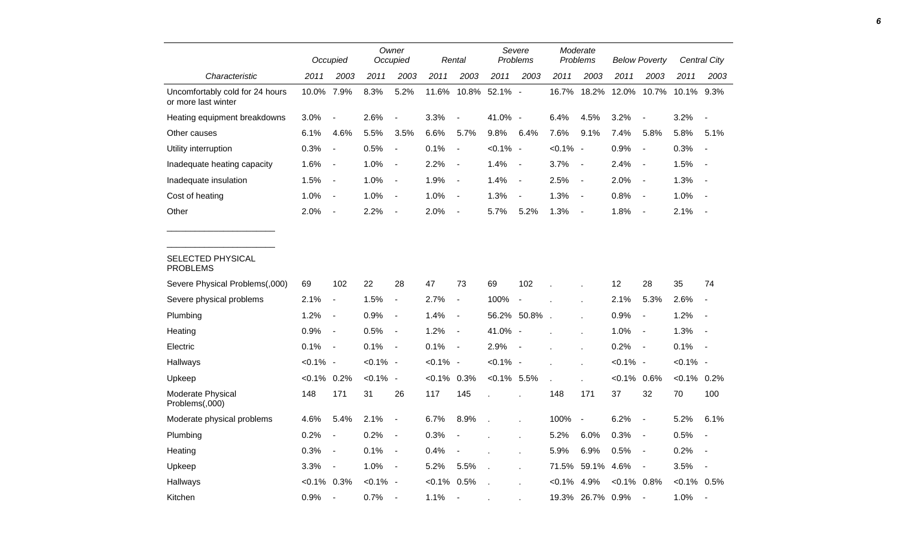|                                                        |                | Occupied                     |             | Owner<br>Occupied        |             | Rental                   |                | Severe<br>Problems       |           | Moderate<br>Problems     |                | <b>Below Poverty</b>     |                | Central City             |
|--------------------------------------------------------|----------------|------------------------------|-------------|--------------------------|-------------|--------------------------|----------------|--------------------------|-----------|--------------------------|----------------|--------------------------|----------------|--------------------------|
| Characteristic                                         | 2011           | 2003                         | 2011        | 2003                     | 2011        | 2003                     | 2011           | 2003                     | 2011      | 2003                     | 2011           | 2003                     | 2011           | 2003                     |
| Uncomfortably cold for 24 hours<br>or more last winter | 10.0% 7.9%     |                              | 8.3%        | 5.2%                     | 11.6%       | 10.8%                    | 52.1% -        |                          | 16.7%     | 18.2%                    | 12.0%          | 10.7%                    | 10.1%          | 9.3%                     |
| Heating equipment breakdowns                           | 3.0%           |                              | 2.6%        | $\frac{1}{2}$            | 3.3%        | $\overline{a}$           | 41.0% -        |                          | 6.4%      | 4.5%                     | 3.2%           | $\overline{a}$           | 3.2%           | $\overline{\phantom{a}}$ |
| Other causes                                           | 6.1%           | 4.6%                         | 5.5%        | 3.5%                     | 6.6%        | 5.7%                     | 9.8%           | 6.4%                     | 7.6%      | 9.1%                     | 7.4%           | 5.8%                     | 5.8%           | 5.1%                     |
| Utility interruption                                   | 0.3%           | $\overline{a}$               | 0.5%        | $\overline{\phantom{a}}$ | 0.1%        | $\blacksquare$           | $< 0.1\%$      | $\sim$                   | $< 0.1\%$ | $\overline{\phantom{a}}$ | 0.9%           | $\overline{\phantom{a}}$ | 0.3%           | $\blacksquare$           |
| Inadequate heating capacity                            | 1.6%           | $\blacksquare$               | 1.0%        | $\overline{\phantom{a}}$ | 2.2%        | $\blacksquare$           | 1.4%           | $\overline{\phantom{a}}$ | 3.7%      | $\blacksquare$           | 2.4%           | $\overline{\phantom{a}}$ | 1.5%           | $\overline{\phantom{a}}$ |
| Inadequate insulation                                  | 1.5%           | $\blacksquare$               | 1.0%        | $\overline{\phantom{a}}$ | 1.9%        | $\overline{\phantom{a}}$ | 1.4%           | $\overline{\phantom{a}}$ | 2.5%      | $\overline{\phantom{a}}$ | 2.0%           | $\blacksquare$           | 1.3%           | $\blacksquare$           |
| Cost of heating                                        | 1.0%           | $\blacksquare$               | 1.0%        | $\blacksquare$           | 1.0%        | $\overline{\phantom{a}}$ | 1.3%           | $\blacksquare$           | 1.3%      | $\overline{\phantom{a}}$ | 0.8%           | $\overline{\phantom{a}}$ | 1.0%           | $\overline{\phantom{a}}$ |
| Other                                                  | 2.0%           | $\overline{a}$               | 2.2%        | $\overline{\phantom{a}}$ | 2.0%        | $\blacksquare$           | 5.7%           | 5.2%                     | 1.3%      | $\overline{\phantom{a}}$ | 1.8%           | $\blacksquare$           | 2.1%           | $\overline{\phantom{a}}$ |
| SELECTED PHYSICAL<br><b>PROBLEMS</b>                   |                |                              |             |                          |             |                          |                |                          |           |                          |                |                          |                |                          |
| Severe Physical Problems(,000)                         | 69             | 102                          | 22          | 28                       | 47          | 73                       | 69             | 102                      |           |                          | 12             | 28                       | 35             | 74                       |
| Severe physical problems                               | 2.1%           | $\blacksquare$               | 1.5%        | $\overline{\phantom{a}}$ | 2.7%        | $\blacksquare$           | 100%           | $\overline{\phantom{a}}$ |           |                          | 2.1%           | 5.3%                     | 2.6%           |                          |
| Plumbing                                               | 1.2%           | $\blacksquare$               | 0.9%        | $\overline{\phantom{a}}$ | 1.4%        | $\overline{\phantom{a}}$ |                | 56.2% 50.8%              |           |                          | 0.9%           | $\overline{\phantom{a}}$ | 1.2%           | $\overline{\phantom{a}}$ |
| Heating                                                | 0.9%           | $\qquad \qquad \blacksquare$ | 0.5%        | $\overline{\phantom{a}}$ | 1.2%        | $\blacksquare$           | 41.0% -        |                          |           |                          | 1.0%           | $\blacksquare$           | 1.3%           | $\overline{\phantom{a}}$ |
| Electric                                               | 0.1%           | $\blacksquare$               | 0.1%        | $\blacksquare$           | 0.1%        | $\overline{\phantom{a}}$ | 2.9%           |                          |           |                          | 0.2%           | $\blacksquare$           | 0.1%           | $\overline{\phantom{a}}$ |
| Hallways                                               | $< 0.1\%$ -    |                              | $< 0.1\%$ - |                          | $< 0.1\%$ - |                          | $< 0.1\%$ -    |                          |           |                          | $< 0.1\%$ -    |                          | $< 0.1\%$ -    |                          |
| Upkeep                                                 | $< 0.1\%$ 0.2% |                              | $< 0.1\%$ - |                          | $< 0.1\%$   | 0.3%                     | $< 0.1\%$ 5.5% |                          |           |                          | $< 0.1\%$      | 0.6%                     | $< 0.1\%$ 0.2% |                          |
| Moderate Physical<br>Problems(,000)                    | 148            | 171                          | 31          | 26                       | 117         | 145                      |                |                          | 148       | 171                      | 37             | 32                       | 70             | 100                      |
| Moderate physical problems                             | 4.6%           | 5.4%                         | 2.1%        | $\blacksquare$           | 6.7%        | 8.9%                     |                |                          | 100%      | $\blacksquare$           | 6.2%           | $\overline{\phantom{a}}$ | 5.2%           | 6.1%                     |
| Plumbing                                               | 0.2%           | $\overline{\phantom{a}}$     | 0.2%        | $\blacksquare$           | 0.3%        |                          |                | ä,                       | 5.2%      | 6.0%                     | 0.3%           | $\overline{\phantom{a}}$ | 0.5%           | $\blacksquare$           |
| Heating                                                | 0.3%           | $\qquad \qquad \blacksquare$ | 0.1%        | $\blacksquare$           | 0.4%        | $\overline{\phantom{a}}$ |                | ä,                       | 5.9%      | 6.9%                     | 0.5%           | $\blacksquare$           | 0.2%           | $\overline{\phantom{a}}$ |
| Upkeep                                                 | 3.3%           | $\overline{\phantom{a}}$     | 1.0%        | $\overline{\phantom{a}}$ | 5.2%        | 5.5%                     |                |                          | 71.5%     | 59.1%                    | 4.6%           | $\overline{\phantom{a}}$ | 3.5%           | $\blacksquare$           |
| Hallways                                               | <0.1% 0.3%     |                              | $< 0.1\%$ - |                          | $< 0.1\%$   | 0.5%                     |                |                          | $< 0.1\%$ | 4.9%                     | $< 0.1\%$ 0.8% |                          | $<0.1\%$ 0.5%  |                          |
| Kitchen                                                | 0.9%           |                              | 0.7%        |                          | 1.1%        | $\blacksquare$           |                |                          |           | 19.3% 26.7%              | 0.9%           |                          | 1.0%           | $\overline{\phantom{a}}$ |